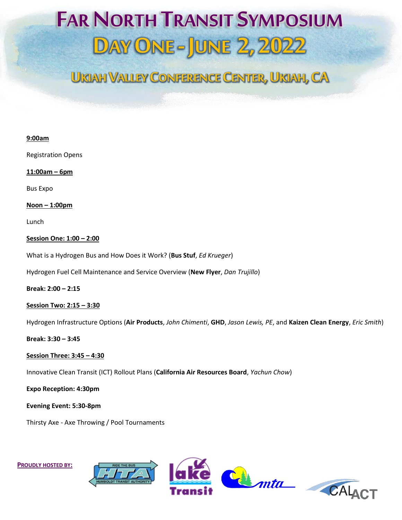# **FAR NORTH TRANSIT SYMPOSIUM DAY ONE - JUNE 2, 2022**

### **UKIAH VALLEY CONFERENCE CENTER,UKIAH, CA**

| 9:00am                                                                                                                   |
|--------------------------------------------------------------------------------------------------------------------------|
| <b>Registration Opens</b>                                                                                                |
| $11:00am - 6pm$                                                                                                          |
| <b>Bus Expo</b>                                                                                                          |
| $N$ oon $-1:00$ pm                                                                                                       |
| Lunch                                                                                                                    |
| Session One: 1:00 - 2:00                                                                                                 |
| What is a Hydrogen Bus and How Does it Work? (Bus Stuf, Ed Krueger)                                                      |
| Hydrogen Fuel Cell Maintenance and Service Overview (New Flyer, Dan Trujillo)                                            |
| Break: 2:00 - 2:15                                                                                                       |
| Session Two: 2:15 - 3:30                                                                                                 |
| Hydrogen Infrastructure Options (Air Products, John Chimenti, GHD, Jason Lewis, PE, and Kaizen Clean Energy, Eric Smith) |
| Break: 3:30 - 3:45                                                                                                       |
| Session Three: 3:45 - 4:30                                                                                               |
| Innovative Clean Transit (ICT) Rollout Plans (California Air Resources Board, Yachun Chow)                               |
| <b>Expo Reception: 4:30pm</b>                                                                                            |
| Evening Event: 5:30-8pm                                                                                                  |
| Thirsty Axe - Axe Throwing / Pool Tournaments                                                                            |
|                                                                                                                          |
|                                                                                                                          |